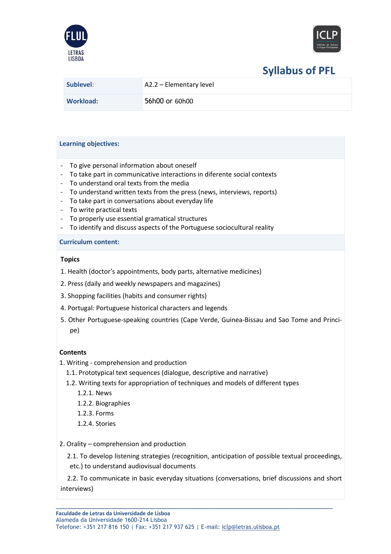



# **Syllabus of PFL**

| Sublevel: | $A2.2 - Elementary level$ |
|-----------|---------------------------|
| Workload: | 56h00 or 60h00            |

## **Learning objectives:**

- To give personal information about oneself
- To take part in communicative interactions in diferente social contexts
- To understand oral texts from the media
- To understand written texts from the press (news, interviews, reports)
- To take part in conversations about everyday life
- To write practical texts
- To properly use essential gramatical structures
- To identify and discuss aspects of the Portuguese sociocultural reality

## **Curriculum content:**

# **Topics**

- 1. Health (doctor's appointments, body parts, alternative medicines)
- 2. Press (daily and weekly newspapers and magazines)
- 3. Shopping facilities (habits and consumer rights)
- 4. Portugal: Portuguese historical characters and legends
- 5. Other Portuguese-speaking countries (Cape Verde, Guinea-Bissau and Sao Tome and Principe)

# **Contents**

- 1. Writing comprehension and production
	- 1.1. Prototypical text sequences (dialogue, descriptive and narrative)
	- 1.2. Writing texts for appropriation of techniques and models of different types
		- 1.2.1. News
		- 1.2.2. Biographies
		- 1.2.3. Forms
		- 1.2.4. Stories
- 2. Orality comprehension and production

2.1. To develop listening strategies (recognition, anticipation of possible textual proceedings,

etc.) to understand audiovisual documents

 2.2. To communicate in basic everyday situations (conversations, brief discussions and short interviews)

**\_\_\_\_\_\_\_\_\_\_\_\_\_\_\_\_\_\_\_\_\_\_\_\_\_\_\_\_\_\_\_\_\_\_\_\_\_\_\_\_\_\_\_\_\_\_\_\_\_\_\_\_\_\_\_\_\_\_\_\_\_\_\_\_\_\_\_\_\_\_\_\_\_\_\_\_\_\_\_\_\_\_\_\_\_\_\_\_\_\_\_\_\_\_**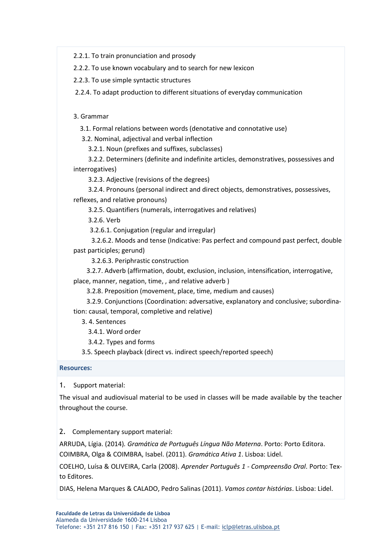2.2.1. To train pronunciation and prosody

2.2.2. To use known vocabulary and to search for new lexicon

2.2.3. To use simple syntactic structures

2.2.4. To adapt production to different situations of everyday communication

3. Grammar

3.1. Formal relations between words (denotative and connotative use)

3.2. Nominal, adjectival and verbal inflection

3.2.1. Noun (prefixes and suffixes, subclasses)

3.2.2. Determiners (definite and indefinite articles, demonstratives, possessives and interrogatives)

3.2.3. Adjective (revisions of the degrees)

3.2.4. Pronouns (personal indirect and direct objects, demonstratives, possessives, reflexes, and relative pronouns)

3.2.5. Quantifiers (numerals, interrogatives and relatives)

3.2.6. Verb

3.2.6.1. Conjugation (regular and irregular)

3.2.6.2. Moods and tense (Indicative: Pas perfect and compound past perfect, double past participles; gerund)

3.2.6.3. Periphrastic construction

3.2.7. Adverb (affirmation, doubt, exclusion, inclusion, intensification, interrogative, place, manner, negation, time, , and relative adverb )

3.2.8. Preposition (movement, place, time, medium and causes)

3.2.9. Conjunctions (Coordination: adversative, explanatory and conclusive; subordination: causal, temporal, completive and relative)

3. 4. Sentences

3.4.1. Word order

3.4.2. Types and forms

3.5. Speech playback (direct vs. indirect speech/reported speech)

#### **Resources:**

1. Support material:

The visual and audiovisual material to be used in classes will be made available by the teacher throughout the course.

## 2. Complementary support material:

ARRUDA, Lígia. (2014)*. Gramática de Português Língua Não Materna*. Porto: Porto Editora. COIMBRA, Olga & COIMBRA, Isabel. (2011). *Gramática Ativa 1*. Lisboa: Lidel.

COELHO, Luísa & OLIVEIRA, Carla (2008). *Aprender Português 1 - Compreensão Oral*. Porto: Texto Editores.

DIAS, Helena Marques & CALADO, Pedro Salinas (2011). *Vamos contar histórias*. Lisboa: Lidel.